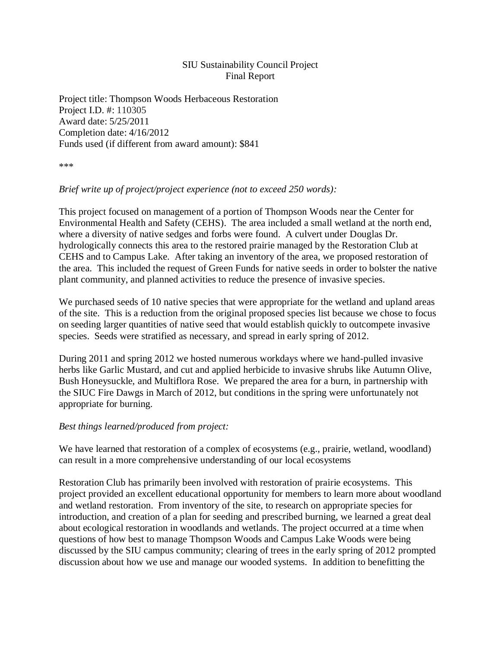## SIU Sustainability Council Project Final Report

Project title: Thompson Woods Herbaceous Restoration Project I.D. #: 110305 Award date: 5/25/2011 Completion date: 4/16/2012 Funds used (if different from award amount): \$841

\*\*\*

## *Brief write up of project/project experience (not to exceed 250 words):*

This project focused on management of a portion of Thompson Woods near the Center for Environmental Health and Safety (CEHS). The area included a small wetland at the north end, where a diversity of native sedges and forbs were found. A culvert under Douglas Dr. hydrologically connects this area to the restored prairie managed by the Restoration Club at CEHS and to Campus Lake. After taking an inventory of the area, we proposed restoration of the area. This included the request of Green Funds for native seeds in order to bolster the native plant community, and planned activities to reduce the presence of invasive species.

We purchased seeds of 10 native species that were appropriate for the wetland and upland areas of the site. This is a reduction from the original proposed species list because we chose to focus on seeding larger quantities of native seed that would establish quickly to outcompete invasive species. Seeds were stratified as necessary, and spread in early spring of 2012.

During 2011 and spring 2012 we hosted numerous workdays where we hand-pulled invasive herbs like Garlic Mustard, and cut and applied herbicide to invasive shrubs like Autumn Olive, Bush Honeysuckle, and Multiflora Rose. We prepared the area for a burn, in partnership with the SIUC Fire Dawgs in March of 2012, but conditions in the spring were unfortunately not appropriate for burning.

## *Best things learned/produced from project:*

We have learned that restoration of a complex of ecosystems (e.g., prairie, wetland, woodland) can result in a more comprehensive understanding of our local ecosystems

Restoration Club has primarily been involved with restoration of prairie ecosystems. This project provided an excellent educational opportunity for members to learn more about woodland and wetland restoration. From inventory of the site, to research on appropriate species for introduction, and creation of a plan for seeding and prescribed burning, we learned a great deal about ecological restoration in woodlands and wetlands. The project occurred at a time when questions of how best to manage Thompson Woods and Campus Lake Woods were being discussed by the SIU campus community; clearing of trees in the early spring of 2012 prompted discussion about how we use and manage our wooded systems. In addition to benefitting the